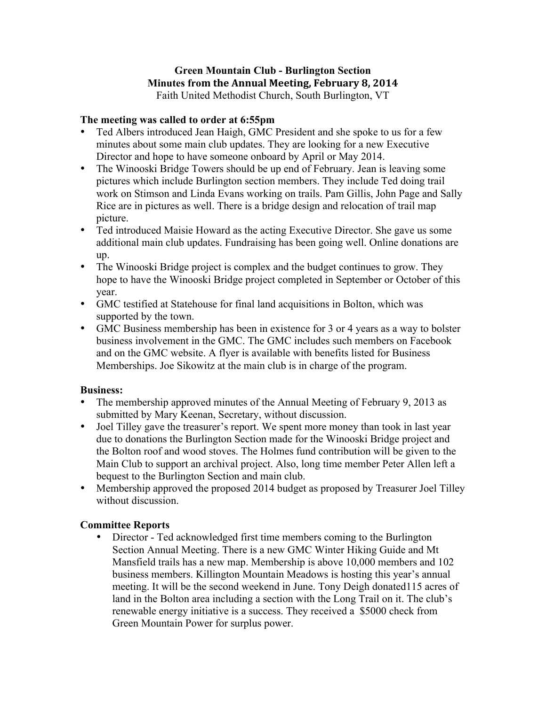# **Green Mountain Club - Burlington Section Minutes from the Annual Meeting, February 8, 2014**

Faith United Methodist Church, South Burlington, VT

#### **The meeting was called to order at 6:55pm**

- Ted Albers introduced Jean Haigh, GMC President and she spoke to us for a few minutes about some main club updates. They are looking for a new Executive Director and hope to have someone onboard by April or May 2014.
- The Winooski Bridge Towers should be up end of February. Jean is leaving some pictures which include Burlington section members. They include Ted doing trail work on Stimson and Linda Evans working on trails. Pam Gillis, John Page and Sally Rice are in pictures as well. There is a bridge design and relocation of trail map picture.
- Ted introduced Maisie Howard as the acting Executive Director. She gave us some additional main club updates. Fundraising has been going well. Online donations are up.
- The Winooski Bridge project is complex and the budget continues to grow. They hope to have the Winooski Bridge project completed in September or October of this year.
- GMC testified at Statehouse for final land acquisitions in Bolton, which was supported by the town.
- GMC Business membership has been in existence for 3 or 4 years as a way to bolster business involvement in the GMC. The GMC includes such members on Facebook and on the GMC website. A flyer is available with benefits listed for Business Memberships. Joe Sikowitz at the main club is in charge of the program.

### **Business:**

- The membership approved minutes of the Annual Meeting of February 9, 2013 as submitted by Mary Keenan, Secretary, without discussion.
- Joel Tilley gave the treasurer's report. We spent more money than took in last year due to donations the Burlington Section made for the Winooski Bridge project and the Bolton roof and wood stoves. The Holmes fund contribution will be given to the Main Club to support an archival project. Also, long time member Peter Allen left a bequest to the Burlington Section and main club.
- Membership approved the proposed 2014 budget as proposed by Treasurer Joel Tilley without discussion.

## **Committee Reports**

• Director - Ted acknowledged first time members coming to the Burlington Section Annual Meeting. There is a new GMC Winter Hiking Guide and Mt Mansfield trails has a new map. Membership is above 10,000 members and 102 business members. Killington Mountain Meadows is hosting this year's annual meeting. It will be the second weekend in June. Tony Deigh donated115 acres of land in the Bolton area including a section with the Long Trail on it. The club's renewable energy initiative is a success. They received a \$5000 check from Green Mountain Power for surplus power.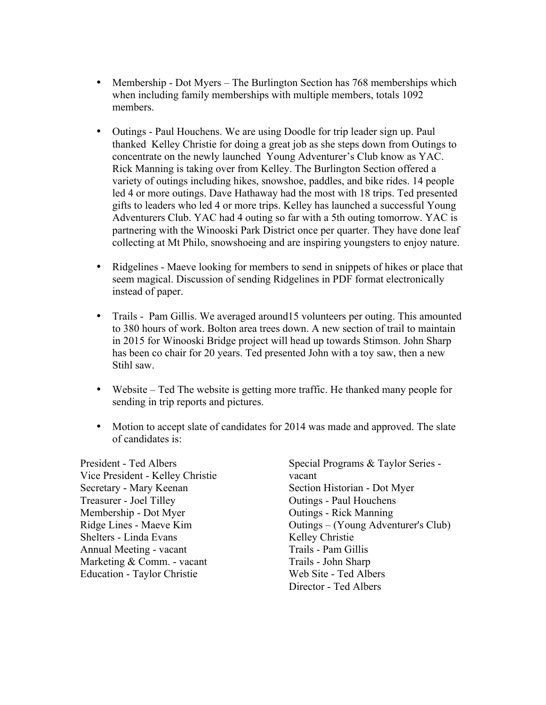- Membership Dot Myers The Burlington Section has 768 memberships which when including family memberships with multiple members, totals 1092 members.
- Outings Paul Houchens. We are using Doodle for trip leader sign up. Paul thanked Kelley Christie for doing a great job as she steps down from Outings to concentrate on the newly launched Young Adventurer's Club know as YAC. Rick Manning is taking over from Kelley. The Burlington Section offered a variety of outings including hikes, snowshoe, paddles, and bike rides. 14 people led 4 or more outings. Dave Hathaway had the most with 18 trips. Ted presented gifts to leaders who led 4 or more trips. Kelley has launched a successful Young Adventurers Club. YAC had 4 outing so far with a 5th outing tomorrow. YAC is partnering with the Winooski Park District once per quarter. They have done leaf collecting at Mt Philo, snowshoeing and are inspiring youngsters to enjoy nature.
- Ridgelines Maeve looking for members to send in snippets of hikes or place that seem magical. Discussion of sending Ridgelines in PDF format electronically instead of paper.
- Trails Pam Gillis. We averaged around 15 volunteers per outing. This amounted to 380 hours of work. Bolton area trees down. A new section of trail to maintain in 2015 for Winooski Bridge project will head up towards Stimson. John Sharp has been co chair for 20 years. Ted presented John with a toy saw, then a new Stihl saw.
- Website Ted The website is getting more traffic. He thanked many people for sending in trip reports and pictures.
- Motion to accept slate of candidates for 2014 was made and approved. The slate of candidates is:

President - Ted Albers Vice President - Kelley Christie Secretary - Mary Keenan Treasurer - Joel Tilley Membership - Dot Myer Ridge Lines - Maeve Kim Shelters - Linda Evans Annual Meeting - vacant Marketing & Comm. - vacant Education - Taylor Christie

Special Programs & Taylor Series vacant Section Historian - Dot Myer Outings - Paul Houchens Outings - Rick Manning Outings – (Young Adventurer's Club) Kelley Christie Trails - Pam Gillis Trails - John Sharp Web Site - Ted Albers Director - Ted Albers